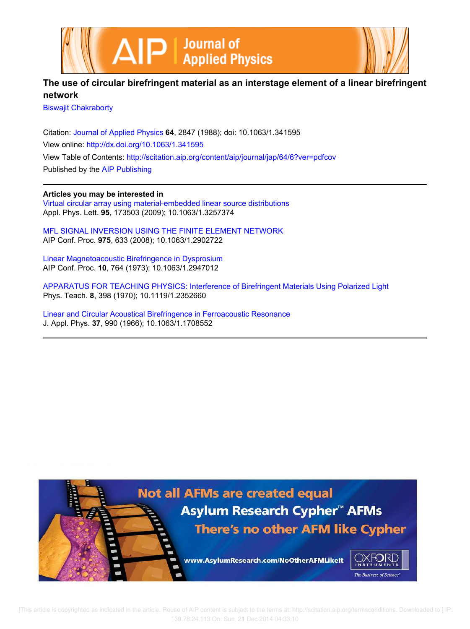



## **The use of circular birefringent material as an interstage element of a linear birefringent network**

Biswajit Chakraborty

Citation: Journal of Applied Physics **64**, 2847 (1988); doi: 10.1063/1.341595 View online: http://dx.doi.org/10.1063/1.341595 View Table of Contents: http://scitation.aip.org/content/aip/journal/jap/64/6?ver=pdfcov Published by the AIP Publishing

**Articles you may be interested in**

Virtual circular array using material-embedded linear source distributions Appl. Phys. Lett. **95**, 173503 (2009); 10.1063/1.3257374

MFL SIGNAL INVERSION USING THE FINITE ELEMENT NETWORK AIP Conf. Proc. **975**, 633 (2008); 10.1063/1.2902722

Linear Magnetoacoustic Birefringence in Dysprosium AIP Conf. Proc. **10**, 764 (1973); 10.1063/1.2947012

APPARATUS FOR TEACHING PHYSICS: Interference of Birefringent Materials Using Polarized Light Phys. Teach. **8**, 398 (1970); 10.1119/1.2352660

Linear and Circular Acoustical Birefringence in Ferroacoustic Resonance J. Appl. Phys. **37**, 990 (1966); 10.1063/1.1708552

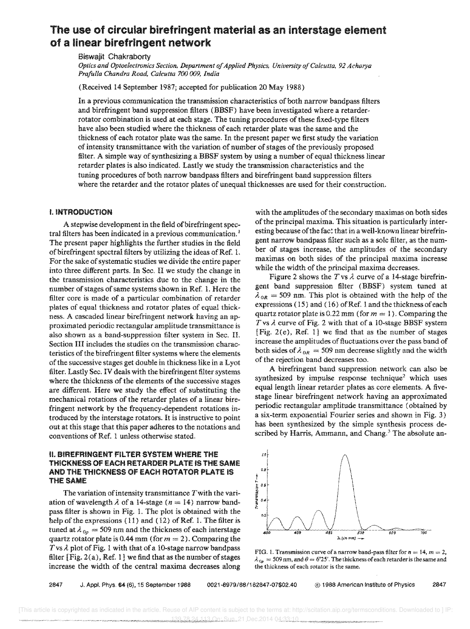# The use of circular birefringent material as an interstage element of a linear birefringent network

Biswajit Chakraborty

*Optics and Optoelectronics Section, Department of Applied Physics, University of Calcutta,* 92 *Acharya Prafulla Chandra Road, Calcutta 700 009, India* 

(Received 14 September 1987; accepted for publication 20 May 1988)

In a previous communication the transmission characteristics of both narrow bandpass filters and birefringent band suppression filters (BBSF) have been investigated where a retarderrotator combination is used at each stage. The tuning procedures of these fixed-type filters have also been studied where the thickness of each retarder plate was the same and the thickness of each rotator plate was the same. In the present paper we first study the variation of intensity transmittance with the variation of number of stages of the previously proposed filter. A simple way of synthesizing a BBSF system by using a number of equal thickness linear retarder plates is also indicated. Lastly we study the transmission characteristics and the tuning procedures of both narrow bandpass filters and birefringent band suppression filters where the retarder and the rotator plates of unequal thicknesses are used for their construction.

#### !. INTRODUCTION

A stepwise development in the field of birefringent spectral filters has been indicated in a previous communication.<sup>1</sup> The present paper highlights the further studies in the field of birefringent spectral filters by utilizing the ideas of Ref. 1. For the sake of systematic studies we divide the entire paper into three different parts. In Sec, II we study the change in the transmission characteristics due to the change in the number of stages of same systems shown in Ref. 1. Here the filter core is made of a particular combination of retarder plates of equal thickness and rotator plates of equal thickness. A cascaded linear birefringent network having an approximated periodic rectangular amplitude transmittance is also shown as a band-suppression filter system in Sec. II. Section III includes the studies on the transmission characteristics of the birefringent filter systems where the elements of the successive stages get double in thickness like in a Lvot filter. Lastly Sec. IV deals with the birefringent filter where the thickness of the elements of the successive stages are different. Here we study the effect of substituting the mechanical rotations of the retarder plates of a linear birefringent network by the frequency-dependent rotations introduced by the interstage rotators. It is instructive to point out at this stage that this paper adheres to the notations and conventions of Ref. 1 unless otherwise stated.

#### II. BIREFRINGENT FILTER SYSTEM WHERE THE THiCKNESS OF EACH RETARDER PLATE IS THE SAME AND THE THICKNESS OF EACH ROTATOR PLATE IS THE SAME

The variation of intensity transmittance  $T$  with the variation of wavelength  $\lambda$  of a 14-stage ( $n = 14$ ) narrow bandpass filter is shown in Fig. 1. The plot is obtained with the help of the expressions (11) and (12) of Ref. 1. The filter is tuned at  $\lambda_{0p} = 509$  nm and the thickness of each interstage quartz rotator plate is 0.44 mm (for  $m = 2$ ). Comparing the  $T$  vs  $\lambda$  plot of Fig. 1 with that of a 10-stage narrow bandpass filter  $[Fig. 2(a), Ref. 1]$  we find that as the number of stages increase the width of the centra! maxima decreases along

with the amplitudes of the secondary maxirnas on both sides of the principal maxima. This situation is particularly interesting because of the fact that in a well-known linear birefringent narrow bandpass filter such as a sole filter, as the number of stages increase, the amplitudes of the secondary maximas on both sides of the principal maxima increase while the width of the principal maxima decreases.

Figure 2 shows the  $T$  vs  $\lambda$  curve of a 14-stage birefringent band suppression filter (BBSF) system tuned at  $\lambda_{OR}$  = 509 nm. This plot is obtained with the help of the expressions ( 15) and ( 16) of Ref. 1 and the thickness of each quartz rotator plate is 0.22 mm (for  $m = 1$ ). Comparing the T vs  $\lambda$  curve of Fig. 2 with that of a 10-stage BBSF system [Fig. 2(e), Ref. 1] we find that as the number of stages increase the amplitUdes of fluctuations over the pass band of both sides of  $\lambda_{OR} = 509$  nm decrease slightly and the width of the rejection band decreases too.

A birefringent band suppression network can also be synthesized by impulse response technique<sup>2</sup> which uses equal length linear retarder plates as core elements. A fivestage linear birefringent network having an approximated periodic rectangular amplitude transmittance (obtained by a six-term exponential Fourier series and shown in Fig. 3) has been synthesized by the simple synthesis process described by Harris, Ammann, and Chang.<sup>3</sup> The absolute an-



FIG. 1. Transmission curve of a narrow band-pass filter for  $n = 14$ ,  $m = 2$ ,  $\lambda_{\text{On}} = 509$  nm, and  $\theta = 6^{\circ}25'$ . The thickness of each retarder is the same and the thickness of each rotator is the same.

2847 J. Appf. Phys. 64 (6), 15 September 1988 0021-8979/86/162847-07\$02.40 ® 1968 American Institute of Physics 2847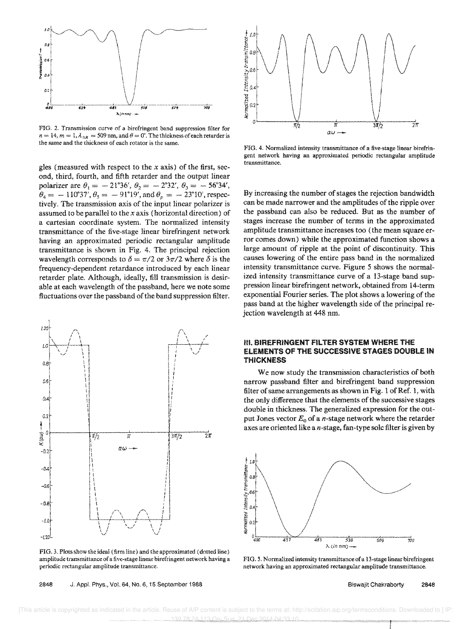

FIG. 2. Transmission curve of a birefringent band suppression filter for  $n = 14$ ,  $m = 1$ ,  $\lambda_{DR} = 509$  nm, and  $\theta = 0^{\circ}$ . The thickness of each retarder is the same and the thickness of each rotator is the same.

gles (measured with respect to the *x* axis) of the first, second, third, fourth, and fifth retarder and the output linear polarizer are  $\theta_1 = -21^{\circ}36', \theta_2 = -2^{\circ}32', \theta_3 = -56^{\circ}34',$  $\theta_4 = -110^{\circ}37', \theta_5 = -91^{\circ}19', \text{and } \theta_p = -23^{\circ}10', \text{respec-}$ tively. The transmission axis of the input linear polarizer is assumed to be parallel to the *x* axis (horizontal direction) of a cartesian coordinate system. The normalized intensity transmittance of the five-stage linear birefringent network having an approximated periodic rectangular amplitude transmittance is shown in Fig. 4. The principal rejection wavelength corresponds to  $\delta = \pi/2$  or  $3\pi/2$  where  $\delta$  is the frequency-dependent retardance introduced by each linear retarder plate. Although, ideally, fill transmission is desirable at each wavelength of the passband, here we note some fluctuations over the passband of the band suppression filter.



FIG. 3. Plots show the ideal (firm line) and the approximated (dotted line) periodic rectangular amplitude transmittance.



FIG. 4. Normalized intensity transmittance of a five-stage linear birefringent network having an approximated periodic rectangular amplitude transmittance.

By increasing the number of stages the rejection bandwidth can be made narrower and the amplitudes of the ripple over the passband can also be reduced. But as the number of stages increase the number of terms in the approximated amplitude transmittance increases too (the mean square error comes down) while the approximated function shows a large amount of ripple at the point of discontinuity. This causes lowering of the entire pass band in the normalized intensity transmittance curve. Figure 5 shows the normalized intensity transmittance curve of a 13-stage band suppression linear birefringent network, obtained from 14-term exponential Fourier series. The plot shows a lowering of the pass band at the higher wavelength side of the principal rejection wavelength at 448 nm.

## m. BIREFRINGENT FilTER SYSTEM WHERE THE ELEMENTS OF THE SUCCESSIVE STAGES DOUBLE IN THICKNESS

We now study the transmission characteristics of both narrow passband filter and birefringent band suppression filter of same arrangements as shown in Fig. 1 of Ref. 1, with the only difference that the elements of the successive stages double in thickness. The generalized expression for the output Jones vector  $E_0$  of a *n*-stage network where the retarder axes are oriented like a  $n$ -stage, fan-type solc filter is given by



network having an approximated rectangular amplitude transmittance.

amplitude transmittance of a five-stage linear birefringent network having a 2848 J. Appl. Phys., Vol. 64, No.6, 15 September 1986 FIG. 5. Normalized intensity transmittance of a 13-stage linear birefringent Biswajit Chakraborty 2843

 [This article is copyrighted as indicated in the article. Reuse of AIP content is subject to the terms at: http://scitation.aip.org/termsconditions. Downloaded to ] IP: 139.78.24.113 On: Sun, 21 Dec 2014 04:33:10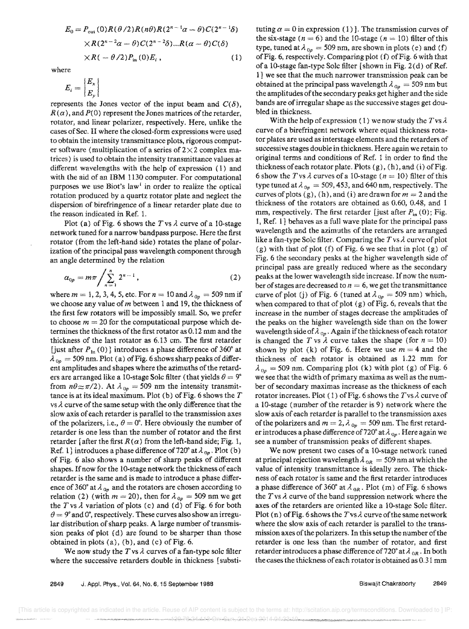$$
E_0 = P_{\text{out}}(0)R(\theta/2)R(n\theta)R(2^{n-1}\alpha - \theta)C(2^{n-1}\delta)
$$
  
× $R(2^{n-2}\alpha - \theta)C(2^{n-2}\delta)...R(\alpha - \theta)C(\delta)$   
× $R(-\theta/2)P_{\text{in}}(0)E_i$ , (1)

where

$$
E_i = \left| \frac{E_x}{E_y} \right|
$$

represents the Jones vector of the input beam and  $C(\delta)$ .  $R(\alpha)$ , and  $P(0)$  represent the Jones matrices of the retarder, rotator, and linear polarizer, respectively. Here, unlike the cases of Sec. II where the closed-form expressions were used to obtain the intensity transmittance plots, rigorous computer software (multiplication of a series of  $2\times2$  complex matrices) is used to obtain the intensity transmittance values at different wavelengths with the help of expression (1) and with the aid of an IBM 1130 computer. For computational purposes we use Biot's law<sup>1</sup> in order to realize the optical rotation produced by a quartz rotator plate and neglect the dispersion of birefringence of a linear retarder plate due to the reason indicated in Ref. 1.

Plot (a) of Fig. 6 shows the *T* vs  $\lambda$  curve of a 10-stage network tuned for a narrow bandpass purpose. Here the first rotator (from the left-hand side) rotates the plane of polarization of the principal pass wavelength component through an angle determined by the relation

$$
\alpha_{0p} = m\pi \bigg/ \sum_{n=1}^{n} 2^{n-1}, \qquad (2)
$$

where  $m = 1, 2, 3, 4, 5$ , etc. For  $n = 10$  and  $\lambda_{0p} = 509$  nm if we choose any value of *m* between 1 and 19, the thickness of the first few rotators will be impossibly small. So, we prefer to choose  $m = 20$  for the computational purpose which determines the thickness of the first rotator as 0.12 mm and the thickness of the last rotator as 6.13 cm. The first retarder [just after  $P_{1n}(0)$ ] introduces a phase difference of 360° at  $\lambda_{0p} = 509$  nm. Plot (a) of Fig. 6 shows sharp peaks of different amplitudes and shapes where the azimuths of the retarders are arranged like a 10-stage Solc filter (that yields  $\theta = 9^{\circ}$ from  $n\theta \approx \pi/2$ ). At  $\lambda_{0p} = 509$  nm the intensity transmittance is at its ideal maximum. Plot (b) of Fig. 6 shows the *T*  vs  $\lambda$  curve of the same setup with the only difference that the slow axis of each retarder is parallel to the transmission axes of the polarizers, i.e.,  $\theta = 0^{\circ}$ . Here obviously the number of retarder is one less than the number of rotator and the first retarder [after the first  $R(\alpha)$  from the left-hand side; Fig. 1, Ref. 1] introduces a phase difference of 720° at  $\lambda_{0p}$ . Plot (b) of Fig. 6 also shows a number of sharp peaks of different shapes. If now for the lO-stage network the thickness of each retarder is the same and is made to introduce a phase difference of 360° at  $\lambda_{0p}$  and the rotators are chosen according to relation (2) (with  $m = 20$ ), then for  $\lambda_{0p} = 509$  nm we get the  $T$  vs  $\lambda$  variation of plots (c) and (d) of Fig. 6 for both  $\theta = 9^{\circ}$  and 0°, respectively. These curves also show an irregular distribution of sharp peaks. A large number of transmission peaks of plot (d) are found to be sharper than those obtained in plots (a), (b), and (c) of Fig. 6.

We now study the  $T$  vs  $\lambda$  curves of a fan-type sole filter where the successive retarders double in thickness [substi-

tuting  $a = 0$  in expression (1) ]. The transmission curves of the six-stage ( $n = 6$ ) and the 10-stage ( $n = 10$ ) filter of this type, tuned at  $\lambda_{0p} = 509$  nm, are shown in plots (e) and (f) of Fig. 6, respectively. Comparing plot (f) of Fig. 6 with that of a 10-stage fan-type Sole filter [shown in Fig. 2 (d) of Ref. 1] we see that the much narrower transmission peak can be obtained at the principal pass wavelength  $\lambda_{0p} = 509$  nm but the amplitudes of the secondary peaks get higher and the side bands are of irregular shape as the successive stages get doubled in thickness.

With the help of expression (1) we now study the Tvs *A.*  curve of a birefringent network where equal thickness rotator plates are used as interstage elements and the retarders of successive stages double in thickness. Here again we retain to original terms and conditions of Ref. I in order to find the thickness of each rotator plate. Plots  $(g)$ ,  $(h)$ , and  $(i)$  of Fig. 6 show the *T* vs  $\lambda$  curves of a 10-stage ( $n = 10$ ) filter of this type tuned at  $\lambda_{0p} = 509, 453$ , and 640 nm, respectively. The curves of plots  $(g)$ ,  $(h)$ , and  $(i)$  are drawn for  $m = 2$  and the thickness of the rotators are obtained as 0.60, 0.48, and 1 mm, respectively. The first retarder [just after  $P_{in} (0)$ ; Fig. 1, Ref. 1] behaves as a full wave plate for the principal pass wavelength and the azimuths of the retarders are arranged like a fan-type Sole filter, Comparing the *T* vs *A* curve of plot (g) with that of plot (f) of Fig. 6 we see that in plot (g) of Fig. 6 the secondary peaks at the higher wavelength side of principal pass are greatly reduced where as the secondary peaks at the lower wavelength side increase, If now the number of stages are decreased to  $n = 6$ , we get the transmittance curve of plot (j) of Fig. 6 (tuned at  $\lambda_{0p} = 509$  nm) which, when compared to that of plot  $(g)$  of Fig. 6, reveals that the increase in the number of stages decrease the amplitudes of the peaks on the higher wavelength side than on the lower wavelength side of  $\lambda_{0p}$ . Again if the thickness of each rotator is changed the *T* vs  $\lambda$  curve takes the shape (for  $n = 10$ ) shown by plot (k) of Fig. 6. Here we use  $m = 4$  and the thickness of each rotator is obtained as 1.22 mm for  $\lambda_{0p}$  = 509 nm. Comparing plot (k) with plot (g) of Fig. 6 we see that the width of primary maxima as well as the number of secondary maximas increase as the thickness of each rotator increases. Plot (1) of Fig. 6 shows the *T* vs  $\lambda$  curve of a lO-stage (number of the retarder is 9) network where the slow axis of each retarder is parallel to the transmission axes of the polarizers and  $m = 2$ ,  $\lambda_{0p} = 509$  nm. The first retarder introduces a phase difference of 720° at  $\lambda_{0n}$ . Here again we see a number of transmission peaks of different shapes.

We now present two cases of a 10-stage network tuned at principal rejection wavelength  $\lambda_{OR} = 509$  nm at which the value of intensity transmittance is ideally zero. The thickness of each rotator is same and the first retarder introduces a phase difference of 360° at  $\lambda_{.0R}$ . Plot (m) of Fig. 6 shows the *T* vs *A* curve of the band suppression network where the axes of the retarders are oriented like a lO-stage Sole filter. Plot (n) of Fig. 6 shows the T vs  $\lambda$  curve of the same network where the slow axis of each retarder is parallel to the transmission axes ofthe polarizers. In this setup the number of the retarder is one less than the number of rotator, and first retarder introduces a phase difference of 720° at  $\lambda_{OR}$ . In both the cases the thickness of each rotator is obtained as  $0.31$  mm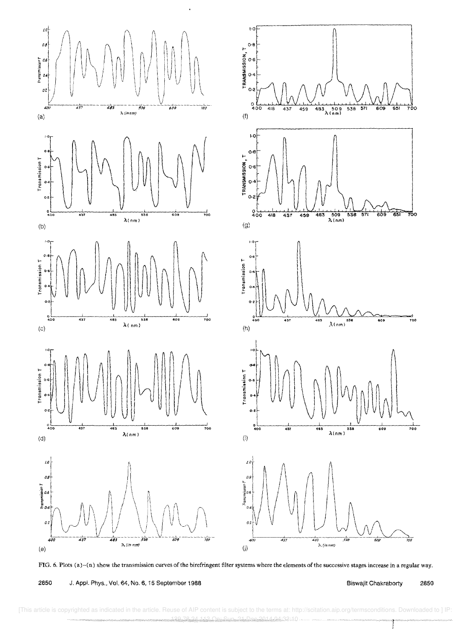

FIG. 6. Plots (a)-(n) show the transmission curves of the birefringent filter systems where the elements of the successive stages increase in a regular way.

2850 J. Appl. Phys., Vol. 64, No. 6, 15 September 1988 **Biswajit Chakraborty** 2850

[This article is copyrighted as indicated in the article. Reuse of AIP content is subject to the terms at: http://scitation.aip.org/termsconditions. Downloaded to ] IP 1<del>48.25.24.24.113.10.20</del>.2014 04:33:10 On: Sun, 21 O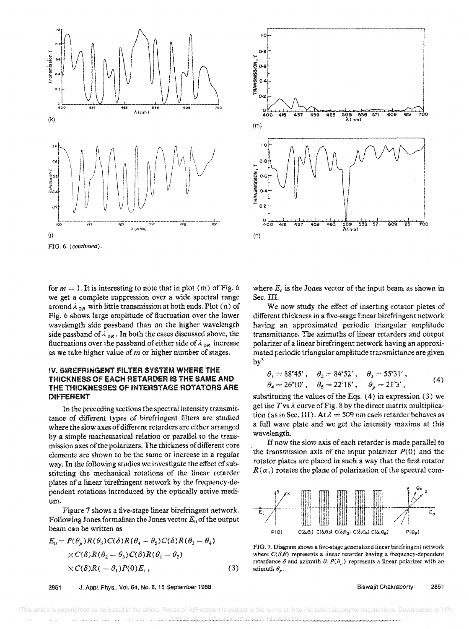



for  $m = 1$ . It is interesting to note that in plot (m) of Fig. 6 we get a complete suppression over a wide spectral range around  $\lambda_{.0R}$  with little transmission at both ends. Plot (n) of Fig. 6 shows large amplitude of fluctuation over the lower wavelength side passband than on the higher wavelength side passband of  $\lambda_{0R}$ . In both the cases discussed above, the fluctuations over the passband of either side of  $\lambda_{.0R}$  increase as we take higher value of *m* or higher number of stages.

### IV. BIREFRINGENT FiLTER SYSTEM WHERE THE THICKNESS OF EACH RETARDER IS THE SAME AND THE THICKNESSES OF INTERSTAGE ROTATORS ARE DIFFERENT

In the preceding sections the spectral intensity transmittance of different types of birefringent filters are studied where the slow axes of different retarders are either arranged by a simple mathematical relation or paraliel to the transmission axes of the polarizers. The thickness of different core elements are shown to be the same or increase in a regular way. In the following studies we investigate the effect of substituting the mechanical rotations of the linear retarder plates of a linear birefringent network by the frequency-dependent rotations introduced by the optically active medium.

Figure 7 shows a five-stage linear birefringent network. Following Jones formalism the Jones vector *Eo* of the output beam can be written as

$$
E_0 = P(\theta_p)R(\theta_5)C(\delta)R(\theta_4 - \theta_5)C(\delta)R(\theta_3 - \theta_4)
$$
  
× $C(\delta)R(\theta_2 - \theta_3)C(\delta)R(\theta_1 - \theta_2)$   
× $C(\delta)R(-\theta_1)P(0)E_i$ , (3)

2851 J. App!. Phys., Vol. 64, No.6, 15 September 1988



where  $E_i$  is the Jones vector of the input beam as shown in Sec. III.

We now study the effect of inserting rotator plates of different thickness in a five-stage linear birefringent network having an approximated periodic triangular amplitude transmittance. The azimuths of linear retarders and output polarizer of a linear birefringent network having an approximated periodic triangular amplitude transmittance are given  $by<sup>3</sup>$ 

$$
\begin{aligned}\n\theta_1 &= 88^\circ 45', & \theta_2 &= 84^\circ 52', & \theta_3 &= 55^\circ 31', \\
\theta_4 &= 26^\circ 10', & \theta_5 &= 22^\circ 18', & \theta_p &= 21^\circ 3',\n\end{aligned}
$$
\n
$$
(4)
$$

substituting the values of the Eqs. (4) in expression (3) we get the  $T$  vs  $\lambda$  curve of Fig. 8 by the direct matrix multiplication (as in Sec. III). At  $\lambda = 509$  nm each retarder behaves as a full wave plate and we get the intensity maxima at this wavelength.

If now the slow axis of each retarder is made parallel to the transmission axis of the input polarizer  $P(0)$  and the rotator plates are placed in such a way that the first rotator  $R(\alpha_1)$  rotates the plane of polarization of the spectral com-



FIG. 7. Diagram shows a five-stage generalized linear birefringent network where  $C(\delta,\theta)$  represents a linear retarder having a frequency-dependent retardance  $\delta$  and azimuth  $\theta$ .  $P(\theta_p)$  represents a linear polarizer with an azimuth  $\theta_n$ .

Biswajit Chakraborty 2851

 [This article is copyrighted as indicated in the article. Reuse of AIP content is subject to the terms at: http://scitation.aip.org/termsconditions. Downloaded to ] IP: 1990، بيومبر ومستروما بادراد الكرام الكرام الكرام المادر المستور المستروم المستروم المستروم المستروم المستروم ا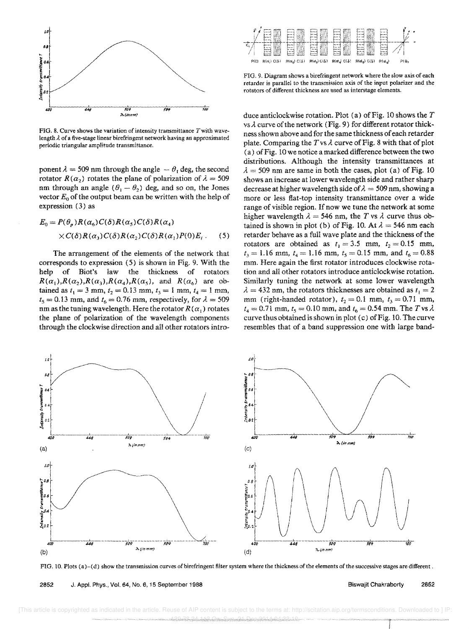

FIG. 8. Curve shows the variation of intensity transmittance  $T$  with wavelength  $\lambda$  of a five-stage linear birefringent network having an approximated periodic triangular amplitude transmittance.

ponent  $\lambda = 509$  nm through the angle  $-\theta$ , deg, the second rotator  $R(\alpha_2)$  rotates the plane of polarization of  $\lambda = 509$ nm through an angle  $(\theta_1 - \theta_2)$  deg, and so on, the Jones vector  $E_0$  of the output beam can be written with the help of expression (3) as

$$
E_0 = P(\theta_p)R(\alpha_6)C(\delta)R(\alpha_5)C(\delta)R(\alpha_4)
$$
  
× $C(\delta)R(\alpha_3)C(\delta)R(\alpha_2)C(\delta)R(\alpha_1)P(0)E_i$ . (5)

The arrangement of the elements of the network that corresponds to expression (5) is shown in Fig. 9. With the help of Diot's law the thickness of rotators  $R(\alpha_1), R(\alpha_2), R(\alpha_3), R(\alpha_4), R(\alpha_5)$ , and  $R(\alpha_6)$  are obtained as  $t_1 = 3$  mm,  $t_2 = 0.13$  mm,  $t_3 = 1$  mm,  $t_4 = 1$  mm,  $t_5 = 0.13$  mm, and  $t_6 = 0.76$  mm, respectively, for  $\lambda = 509$ nm as the tuning wavelength. Here the rotator  $R(\alpha_i)$  rotates the plane of polarization of the wavelength components through the clockwise direction and all other rotators intro-



FIG. 9. Diagram shows a birefringent network where the slow axis of each retarder is parallel to the transmission axis of the input polarizer and the rotators of different thickness are used as interstage elements.

duce anticlockwise rotation. Plot (a) of Fig. 10 shows the *T*  vs  $\lambda$  curve of the network (Fig. 9) for different rotator thickness shown above and for the same thickness of each retarder plate. Comparing the  $T$  vs  $\lambda$  curve of Fig. 8 with that of plot (a) of Fig. 10 we notice a marked difference between the two distributions. Although the intensity transmittances at  $\lambda = 509$  nm are same in both the cases, plot (a) of Fig. 10 shows an increase at lower wavelength side and rather sharp decrease at higher wavelength side of  $\lambda = 509$  nm, showing a more or less fiat-top intensity transmittance over a wide range of visible region. If now we tune the network at some higher wavelength  $\lambda = 546$  nm, the *T* vs  $\lambda$  curve thus obtained is shown in plot (b) of Fig. 10. At  $\lambda = 546$  nm each retarder behave as a full wave plate and the thickness of the rotators are obtained as  $t_1 = 3.5$  mm,  $t_2 = 0.15$  mm,  $t_3 = 1.16$  mm,  $t_4 = 1.16$  mm,  $t_5 = 0.15$  mm, and  $t_6 = 0.88$ mm. Here again the first rotator introduces clockwise rotation and all other rotators introduce anticlockwise rotation. Similarly tuning the network at some lower wavelength  $\lambda = 432$  nm, the rotators thicknesses are obtained as  $t_1 = 2$ mm (right-handed rotator),  $t_2 = 0.1$  mm,  $t_3 = 0.71$  mm,  $t_4 = 0.71$  mm,  $t_5 = 0.10$  mm, and  $t_6 = 0.54$  mm. The *T* vs  $\lambda$ curve thus obtained is shown in plot (c) of Fig. 10. The curve resembles that of a band suppression one with large band-



FIG. 10. Plots (a )-( d) show the transmission curves of birefringent filter system where the thickness of the elements of the successive stages are different.

2852 J. Appl. Phys., Vol. 64, No. 6, 15 September 1988 **Biswajit Chakraborty** 2652

 [This article is copyrighted as indicated in the article. Reuse of AIP content is subject to the terms at: http://scitation.aip.org/termsconditions. Downloaded to ] IP: 139.08.113 On: Sun, 21.09.09.09.09.09.09.09.09.09.00